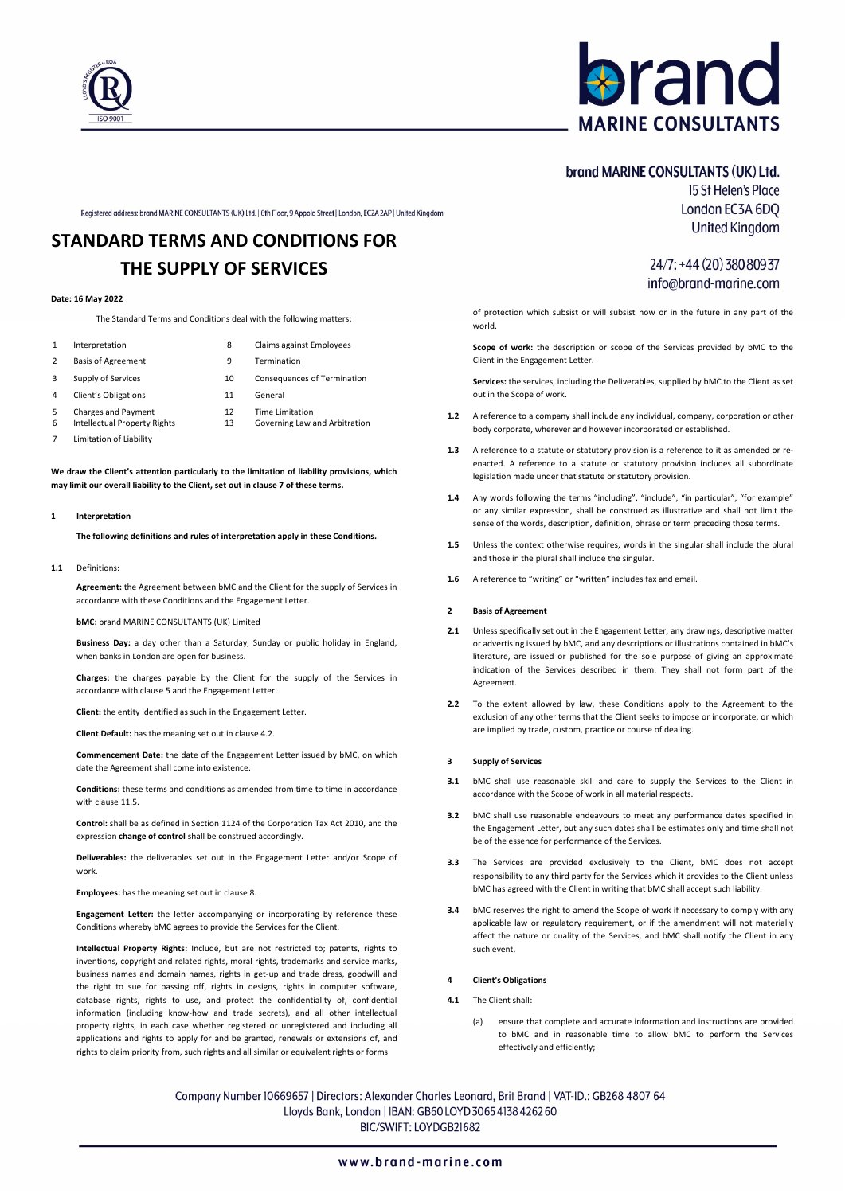

# **aran MARINE CONSULTANTS**

# brand MARINE CONSULTANTS (UK) Ltd. 15 St Helen's Place

Registered address: brand MARINE CONSULTANTS (UK) Ltd. | 6th Floor, 9 Appold Street | London, EC2A 2AP | United Kingdom

# **STANDARD TERMS AND CONDITIONS FOR THE SUPPLY OF SERVICES**

# **Date: 16 May 2022**

The Standard Terms and Conditions deal with the following matters:

- 1 Interpretation 8 Claims against Employees
	-
- 2 Basis of Agreement 9 Termination
- 3 Supply of Services 10 Consequences of Termination
- 4 Client's Obligations 11 General
- 5 Charges and Payment 12 Time Limitation<br>6 Intellectual Property Rights 13 Governing Law
- 7 Limitation of Liability
- 6 Intellectual Property Rights 13 Governing Law and Arbitration

**We draw the Client's attention particularly to the limitation of liability provisions, which may limit our overall liability to the Client, set out in clause 7 of these terms.**

# **1 Interpretation**

**The following definitions and rules of interpretation apply in these Conditions.** 

**1.1** Definitions:

**Agreement:** the Agreement between bMC and the Client for the supply of Services in accordance with these Conditions and the Engagement Letter.

**bMC:** brand MARINE CONSULTANTS (UK) Limited

**Business Day:** a day other than a Saturday, Sunday or public holiday in England, when banks in London are open for business.

**Charges:** the charges payable by the Client for the supply of the Services in accordance with clause 5 and the Engagement Letter.

**Client:** the entity identified as such in the Engagement Letter.

**Client Default:** has the meaning set out in clause 4.2.

**Commencement Date:** the date of the Engagement Letter issued by bMC, on which date the Agreement shall come into existence.

**Conditions:** these terms and conditions as amended from time to time in accordance with clause 11.5

**Control:** shall be as defined in Section 1124 of the Corporation Tax Act 2010, and the expression **change of control** shall be construed accordingly.

**Deliverables:** the deliverables set out in the Engagement Letter and/or Scope of work.

**Employees:** has the meaning set out in clause 8.

**Engagement Letter:** the letter accompanying or incorporating by reference these Conditions whereby bMC agrees to provide the Services for the Client.

**Intellectual Property Rights:** Include, but are not restricted to; patents, rights to inventions, copyright and related rights, moral rights, trademarks and service marks, business names and domain names, rights in get-up and trade dress, goodwill and the right to sue for passing off, rights in designs, rights in computer software, database rights, rights to use, and protect the confidentiality of, confidential information (including know-how and trade secrets), and all other intellectual property rights, in each case whether registered or unregistered and including all applications and rights to apply for and be granted, renewals or extensions of, and rights to claim priority from, such rights and all similar or equivalent rights or forms

**United Kingdom** 24/7: +44 (20) 380 809 37

info@brand-marine.com

London EC3A 6DQ

# of protection which subsist or will subsist now or in the future in any part of the

**Scope of work:** the description or scope of the Services provided by bMC to the Client in the Engagement Letter.

**Services:** the services, including the Deliverables, supplied by bMC to the Client as set out in the Scope of work.

- **1.2** A reference to a company shall include any individual, company, corporation or other body corporate, wherever and however incorporated or established.
- **1.3** A reference to a statute or statutory provision is a reference to it as amended or reenacted. A reference to a statute or statutory provision includes all subordinate legislation made under that statute or statutory provision.
- **1.4** Any words following the terms "including", "include", "in particular", "for example" or any similar expression, shall be construed as illustrative and shall not limit the sense of the words, description, definition, phrase or term preceding those terms.
- **1.5** Unless the context otherwise requires, words in the singular shall include the plural and those in the plural shall include the singular.
- **1.6** A reference to "writing" or "written" includes fax and email.

# **2 Basis of Agreement**

world.

- **2.1** Unless specifically set out in the Engagement Letter, any drawings, descriptive matter or advertising issued by bMC, and any descriptions or illustrations contained in bMC's literature, are issued or published for the sole purpose of giving an approximate indication of the Services described in them. They shall not form part of the Agreement.
- **2.2** To the extent allowed by law, these Conditions apply to the Agreement to the exclusion of any other terms that the Client seeks to impose or incorporate, or which are implied by trade, custom, practice or course of dealing.

#### **3 Supply of Services**

- **3.1** bMC shall use reasonable skill and care to supply the Services to the Client in accordance with the Scope of work in all material respects.
- **3.2** bMC shall use reasonable endeavours to meet any performance dates specified in the Engagement Letter, but any such dates shall be estimates only and time shall not be of the essence for performance of the Services.
- **3.3** The Services are provided exclusively to the Client, bMC does not accept responsibility to any third party for the Services which it provides to the Client unless bMC has agreed with the Client in writing that bMC shall accept such liability.
- **3.4** bMC reserves the right to amend the Scope of work if necessary to comply with any applicable law or regulatory requirement, or if the amendment will not materially affect the nature or quality of the Services, and bMC shall notify the Client in any such event.

### **4 Client's Obligations**

- **4.1** The Client shall:
	- (a) ensure that complete and accurate information and instructions are provided to bMC and in reasonable time to allow bMC to perform the Services effectively and efficiently;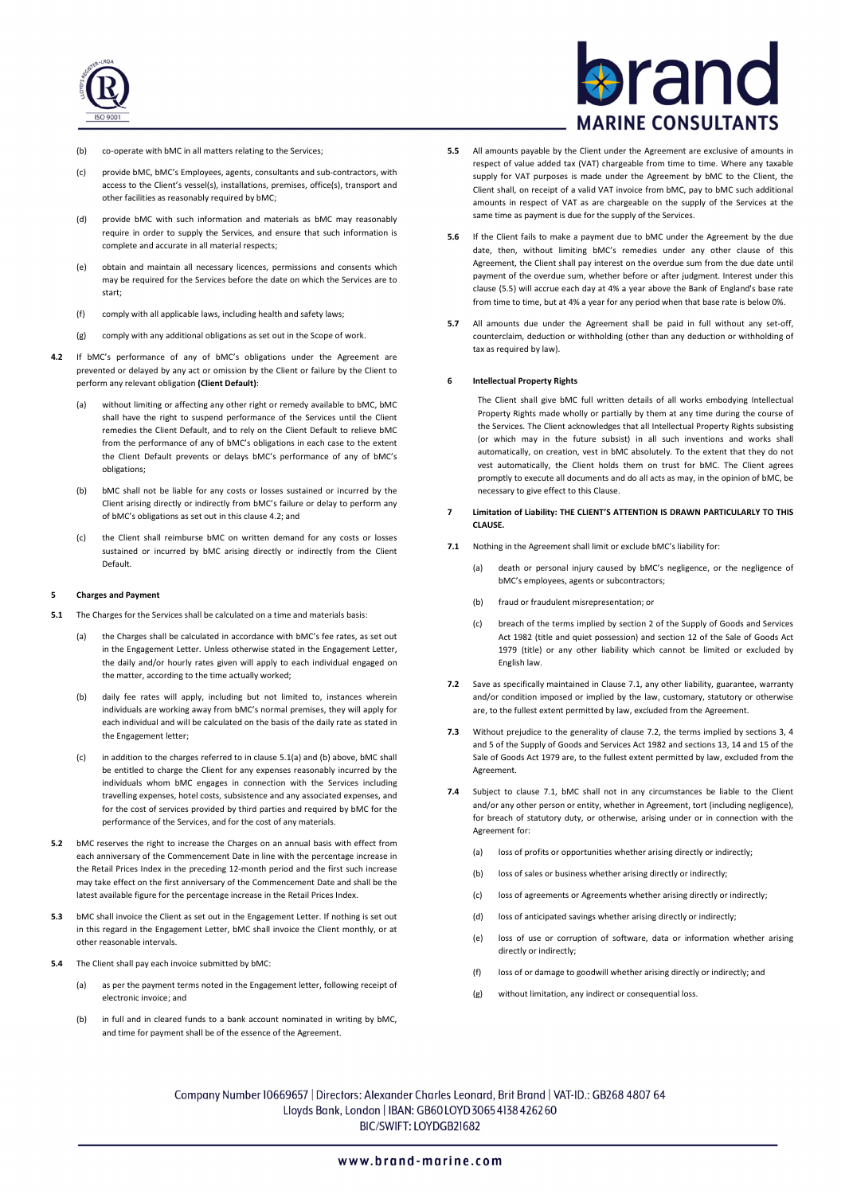

# ran **MARINE CONSULTANTS**

- (b) co-operate with bMC in all matters relating to the Services;
- (c) provide bMC, bMC's Employees, agents, consultants and sub-contractors, with access to the Client's vessel(s), installations, premises, office(s), transport and other facilities as reasonably required by bMC;
- (d) provide bMC with such information and materials as bMC may reasonably require in order to supply the Services, and ensure that such information is complete and accurate in all material respects;
- (e) obtain and maintain all necessary licences, permissions and consents which may be required for the Services before the date on which the Services are to start;
- (f) comply with all applicable laws, including health and safety laws;
- (g) comply with any additional obligations as set out in the Scope of work.
- **4.2** If bMC's performance of any of bMC's obligations under the Agreement are prevented or delayed by any act or omission by the Client or failure by the Client to perform any relevant obligation **(Client Default)**:
	- (a) without limiting or affecting any other right or remedy available to bMC, bMC shall have the right to suspend performance of the Services until the Client remedies the Client Default, and to rely on the Client Default to relieve bMC from the performance of any of bMC's obligations in each case to the extent the Client Default prevents or delays bMC's performance of any of bMC's obligations;
	- (b) bMC shall not be liable for any costs or losses sustained or incurred by the Client arising directly or indirectly from bMC's failure or delay to perform any of bMC's obligations as set out in this clause 4.2; and
	- (c) the Client shall reimburse bMC on written demand for any costs or losses sustained or incurred by bMC arising directly or indirectly from the Client Default.

# **5 Charges and Payment**

- **5.1** The Charges for the Services shall be calculated on a time and materials basis:
	- (a) the Charges shall be calculated in accordance with bMC's fee rates, as set out in the Engagement Letter. Unless otherwise stated in the Engagement Letter, the daily and/or hourly rates given will apply to each individual engaged on the matter, according to the time actually worked;
	- (b) daily fee rates will apply, including but not limited to, instances wherein individuals are working away from bMC's normal premises, they will apply for each individual and will be calculated on the basis of the daily rate as stated in the Engagement letter;
	- (c) in addition to the charges referred to in clause 5.1(a) and (b) above, bMC shall be entitled to charge the Client for any expenses reasonably incurred by the individuals whom bMC engages in connection with the Services including travelling expenses, hotel costs, subsistence and any associated expenses, and for the cost of services provided by third parties and required by bMC for the performance of the Services, and for the cost of any materials.
- **5.2** bMC reserves the right to increase the Charges on an annual basis with effect from each anniversary of the Commencement Date in line with the percentage increase in the Retail Prices Index in the preceding 12-month period and the first such increase may take effect on the first anniversary of the Commencement Date and shall be the latest available figure for the percentage increase in the Retail Prices Index.
- **5.3** bMC shall invoice the Client as set out in the Engagement Letter. If nothing is set out in this regard in the Engagement Letter, bMC shall invoice the Client monthly, or at other reasonable intervals.
- **5.4** The Client shall pay each invoice submitted by bMC:
	- (a) as per the payment terms noted in the Engagement letter, following receipt of electronic invoice; and
	- (b) in full and in cleared funds to a bank account nominated in writing by bMC, and time for payment shall be of the essence of the Agreement.
- **5.5** All amounts payable by the Client under the Agreement are exclusive of amounts in respect of value added tax (VAT) chargeable from time to time. Where any taxable supply for VAT purposes is made under the Agreement by bMC to the Client, the Client shall, on receipt of a valid VAT invoice from bMC, pay to bMC such additional amounts in respect of VAT as are chargeable on the supply of the Services at the same time as payment is due for the supply of the Services.
- **5.6** If the Client fails to make a payment due to bMC under the Agreement by the due date, then, without limiting bMC's remedies under any other clause of this Agreement, the Client shall pay interest on the overdue sum from the due date until payment of the overdue sum, whether before or after judgment. Interest under this clause (5.5) will accrue each day at 4% a year above the Bank of England's base rate from time to time, but at 4% a year for any period when that base rate is below 0%.
- **5.7** All amounts due under the Agreement shall be paid in full without any set-off, counterclaim, deduction or withholding (other than any deduction or withholding of tax as required by law).

# **6 Intellectual Property Rights**

The Client shall give bMC full written details of all works embodying Intellectual Property Rights made wholly or partially by them at any time during the course of the Services. The Client acknowledges that all Intellectual Property Rights subsisting (or which may in the future subsist) in all such inventions and works shall automatically, on creation, vest in bMC absolutely. To the extent that they do not vest automatically, the Client holds them on trust for bMC. The Client agrees promptly to execute all documents and do all acts as may, in the opinion of bMC, be necessary to give effect to this Clause.

- **7 Limitation of Liability: THE CLIENT'S ATTENTION IS DRAWN PARTICULARLY TO THIS CLAUSE.**
- **7.1** Nothing in the Agreement shall limit or exclude bMC's liability for:
	- (a) death or personal injury caused by bMC's negligence, or the negligence of bMC's employees, agents or subcontractors;
	- (b) fraud or fraudulent misrepresentation; or
	- (c) breach of the terms implied by section 2 of the Supply of Goods and Services Act 1982 (title and quiet possession) and section 12 of the Sale of Goods Act 1979 (title) or any other liability which cannot be limited or excluded by English law.
- **7.2** Save as specifically maintained in Clause 7.1, any other liability, guarantee, warranty and/or condition imposed or implied by the law, customary, statutory or otherwise are, to the fullest extent permitted by law, excluded from the Agreement.
- **7.3** Without prejudice to the generality of clause 7.2, the terms implied by sections 3, 4 and 5 of the Supply of Goods and Services Act 1982 and sections 13, 14 and 15 of the Sale of Goods Act 1979 are, to the fullest extent permitted by law, excluded from the Agreement.
- **7.4** Subject to clause 7.1, bMC shall not in any circumstances be liable to the Client and/or any other person or entity, whether in Agreement, tort (including negligence), for breach of statutory duty, or otherwise, arising under or in connection with the Agreement for:
	- (a) loss of profits or opportunities whether arising directly or indirectly;
	- (b) loss of sales or business whether arising directly or indirectly;
	- (c) loss of agreements or Agreements whether arising directly or indirectly;
	- (d) loss of anticipated savings whether arising directly or indirectly:
	- (e) loss of use or corruption of software, data or information whether arising directly or indirectly;
	- (f) loss of or damage to goodwill whether arising directly or indirectly; and
	- (g) without limitation, any indirect or consequential loss.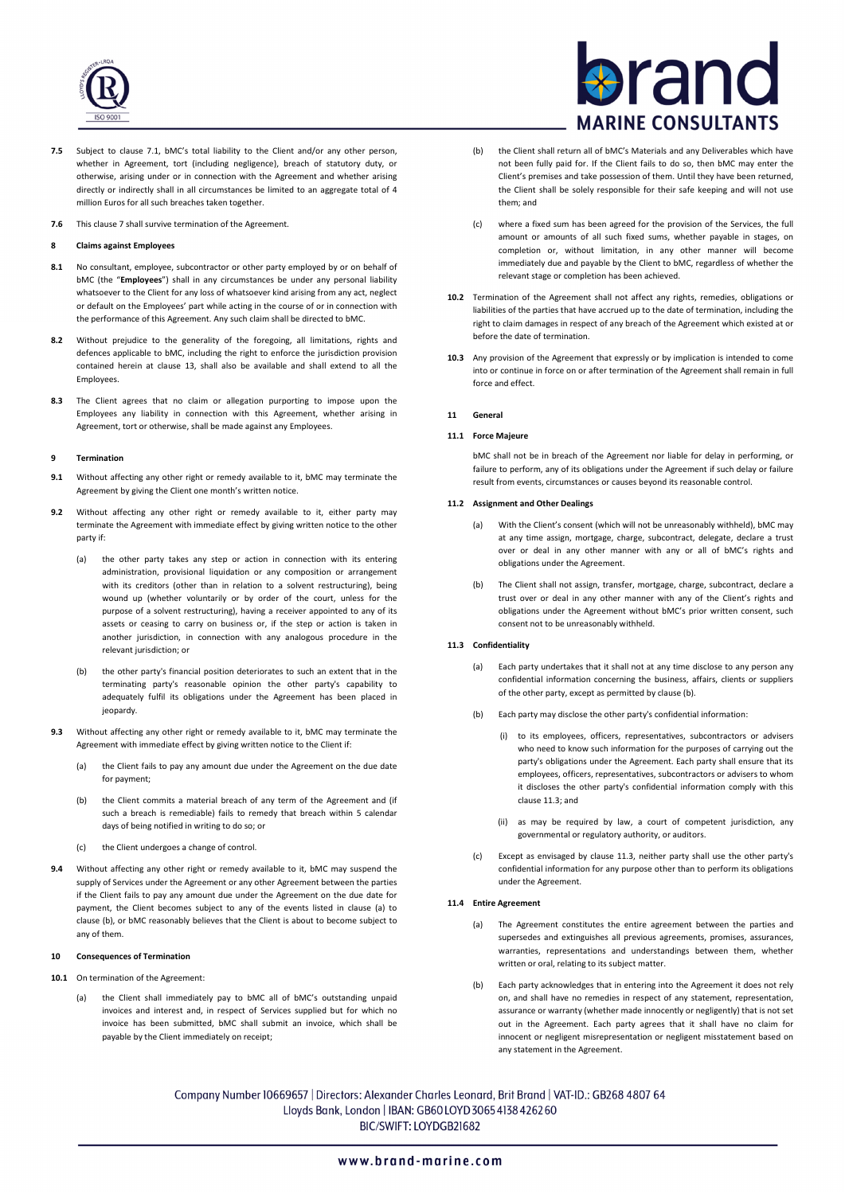

- **7.5** Subject to clause 7.1, bMC's total liability to the Client and/or any other person, whether in Agreement, tort (including negligence), breach of statutory duty, or otherwise, arising under or in connection with the Agreement and whether arising directly or indirectly shall in all circumstances be limited to an aggregate total of 4 million Euros for all such breaches taken together.
- **7.6** This clause 7 shall survive termination of the Agreement.

# **8 Claims against Employees**

- **8.1** No consultant, employee, subcontractor or other party employed by or on behalf of bMC (the "**Employees**") shall in any circumstances be under any personal liability whatsoever to the Client for any loss of whatsoever kind arising from any act, neglect or default on the Employees' part while acting in the course of or in connection with the performance of this Agreement. Any such claim shall be directed to bMC.
- **8.2** Without prejudice to the generality of the foregoing, all limitations, rights and defences applicable to bMC, including the right to enforce the jurisdiction provision contained herein at clause 13, shall also be available and shall extend to all the **Employees**
- **8.3** The Client agrees that no claim or allegation purporting to impose upon the Employees any liability in connection with this Agreement, whether arising in Agreement, tort or otherwise, shall be made against any Employees.

# **9 Termination**

- **9.1** Without affecting any other right or remedy available to it, bMC may terminate the Agreement by giving the Client one month's written notice.
- **9.2** Without affecting any other right or remedy available to it, either party may terminate the Agreement with immediate effect by giving written notice to the other party if:
	- (a) the other party takes any step or action in connection with its entering administration, provisional liquidation or any composition or arrangement with its creditors (other than in relation to a solvent restructuring), being wound up (whether voluntarily or by order of the court, unless for the purpose of a solvent restructuring), having a receiver appointed to any of its assets or ceasing to carry on business or, if the step or action is taken in another jurisdiction, in connection with any analogous procedure in the relevant jurisdiction; or
	- (b) the other party's financial position deteriorates to such an extent that in the terminating party's reasonable opinion the other party's capability to adequately fulfil its obligations under the Agreement has been placed in jeopardy.
- **9.3** Without affecting any other right or remedy available to it, bMC may terminate the Agreement with immediate effect by giving written notice to the Client if:
	- (a) the Client fails to pay any amount due under the Agreement on the due date for payment;
	- (b) the Client commits a material breach of any term of the Agreement and (if such a breach is remediable) fails to remedy that breach within 5 calendar days of being notified in writing to do so; or
	- (c) the Client undergoes a change of control.
- **9.4** Without affecting any other right or remedy available to it, bMC may suspend the supply of Services under the Agreement or any other Agreement between the parties if the Client fails to pay any amount due under the Agreement on the due date for payment, the Client becomes subject to any of the events listed in clause (a) to clause (b), or bMC reasonably believes that the Client is about to become subject to any of them.

### **10 Consequences of Termination**

- **10.1** On termination of the Agreement:
	- (a) the Client shall immediately pay to bMC all of bMC's outstanding unpaid invoices and interest and, in respect of Services supplied but for which no invoice has been submitted, bMC shall submit an invoice, which shall be payable by the Client immediately on receipt;

# ran **MARINE CONSULTANTS**

- (b) the Client shall return all of bMC's Materials and any Deliverables which have not been fully paid for. If the Client fails to do so, then bMC may enter the Client's premises and take possession of them. Until they have been returned, the Client shall be solely responsible for their safe keeping and will not use them; and
- (c) where a fixed sum has been agreed for the provision of the Services, the full amount or amounts of all such fixed sums, whether payable in stages, on completion or, without limitation, in any other manner will become immediately due and payable by the Client to bMC, regardless of whether the relevant stage or completion has been achieved.
- **10.2** Termination of the Agreement shall not affect any rights, remedies, obligations or liabilities of the parties that have accrued up to the date of termination, including the right to claim damages in respect of any breach of the Agreement which existed at or before the date of termination.
- **10.3** Any provision of the Agreement that expressly or by implication is intended to come into or continue in force on or after termination of the Agreement shall remain in full force and effect.

# **11 General**

### **11.1 Force Majeure**

bMC shall not be in breach of the Agreement nor liable for delay in performing, or failure to perform, any of its obligations under the Agreement if such delay or failure result from events, circumstances or causes beyond its reasonable control.

# **11.2 Assignment and Other Dealings**

- (a) With the Client's consent (which will not be unreasonably withheld), bMC may at any time assign, mortgage, charge, subcontract, delegate, declare a trust over or deal in any other manner with any or all of bMC's rights and obligations under the Agreement.
- The Client shall not assign, transfer, mortgage, charge, subcontract, declare a trust over or deal in any other manner with any of the Client's rights and obligations under the Agreement without bMC's prior written consent, such consent not to be unreasonably withheld.

# **11.3 Confidentiality**

- (a) Each party undertakes that it shall not at any time disclose to any person any confidential information concerning the business, affairs, clients or suppliers of the other party, except as permitted by clause (b).
- (b) Each party may disclose the other party's confidential information:
	- (i) to its employees, officers, representatives, subcontractors or advisers who need to know such information for the purposes of carrying out the party's obligations under the Agreement. Each party shall ensure that its employees, officers, representatives, subcontractors or advisers to whom it discloses the other party's confidential information comply with this clause 11.3; and
	- (ii) as may be required by law, a court of competent jurisdiction, any governmental or regulatory authority, or auditors.
- (c) Except as envisaged by clause 11.3, neither party shall use the other party's confidential information for any purpose other than to perform its obligations under the Agreement.

# **11.4 Entire Agreement**

- (a) The Agreement constitutes the entire agreement between the parties and supersedes and extinguishes all previous agreements, promises, assurances, warranties, representations and understandings between them, whether written or oral, relating to its subject matter.
- (b) Each party acknowledges that in entering into the Agreement it does not rely on, and shall have no remedies in respect of any statement, representation, assurance or warranty (whether made innocently or negligently) that is not set out in the Agreement. Each party agrees that it shall have no claim for innocent or negligent misrepresentation or negligent misstatement based on any statement in the Agreement.